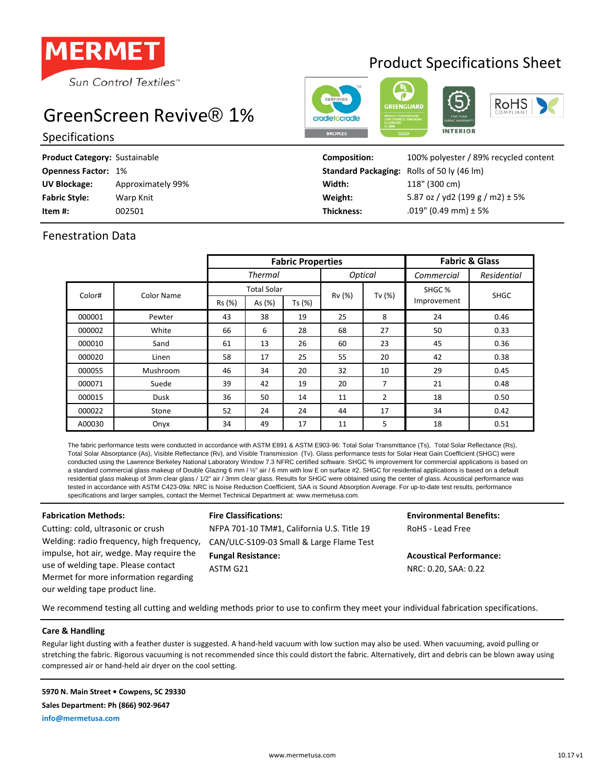

# Product Specifications Sheet

**INTERIOR** 

**RoHS** 

# GreenScreen Revive® 1%

## Specifications

| Product Category: Sustainable |                   | <b>Composition:</b>                               | 100% polyester / 89% recycled content |
|-------------------------------|-------------------|---------------------------------------------------|---------------------------------------|
| <b>Openness Factor: 1%</b>    |                   | <b>Standard Packaging:</b> Rolls of 50 ly (46 lm) |                                       |
| <b>UV Blockage:</b>           | Approximately 99% | Width:                                            | 118" (300 cm)                         |
| <b>Fabric Style:</b>          | Warp Knit         | Weight:                                           | 5.87 oz / yd2 (199 g / m2) $\pm$ 5%   |
| Item #:                       | 002501            | Thickness:                                        | $.019$ " (0.49 mm) ± 5%               |
|                               |                   |                                                   |                                       |

## Fenestration Data

|        |            | <b>Fabric Properties</b> |                              |        |                |                | <b>Fabric &amp; Glass</b>        |             |
|--------|------------|--------------------------|------------------------------|--------|----------------|----------------|----------------------------------|-------------|
|        |            | <b>Thermal</b>           |                              |        | <b>Optical</b> |                | Commercial                       | Residential |
| Color# | Color Name | Rs (%)                   | <b>Total Solar</b><br>As (%) | Ts (%) | Rv (%)         | Tv $(%)$       | SHGC <sub>%</sub><br>Improvement | <b>SHGC</b> |
| 000001 | Pewter     | 43                       | 38                           | 19     | 25             | 8              | 24                               | 0.46        |
| 000002 | White      | 66                       | 6                            | 28     | 68             | 27             | 50                               | 0.33        |
| 000010 | Sand       | 61                       | 13                           | 26     | 60             | 23             | 45                               | 0.36        |
| 000020 | Linen      | 58                       | 17                           | 25     | 55             | 20             | 42                               | 0.38        |
| 000055 | Mushroom   | 46                       | 34                           | 20     | 32             | 10             | 29                               | 0.45        |
| 000071 | Suede      | 39                       | 42                           | 19     | 20             | $\overline{7}$ | 21                               | 0.48        |
| 000015 | Dusk       | 36                       | 50                           | 14     | 11             | $\overline{2}$ | 18                               | 0.50        |
| 000022 | Stone      | 52                       | 24                           | 24     | 44             | 17             | 34                               | 0.42        |
| A00030 | Onyx       | 34                       | 49                           | 17     | 11             | 5              | 18                               | 0.51        |

The fabric performance tests were conducted in accordance with ASTM E891 & ASTM E903-96: Total Solar Transmittance (Ts), Total Solar Reflectance (Rs), Total Solar Absorptance (As), Visible Reflectance (Rv), and Visible Transmission (Tv). Glass performance tests for Solar Heat Gain Coefficient (SHGC) were conducted using the Lawrence Berkeley National Laboratory Window 7.3 NFRC certified software. SHGC % improvement for commercial applications is based on a standard commercial glass makeup of Double Glazing 6 mm / 1/2" air / 6 mm with low E on surface #2. SHGC for residential applications is based on a default residential glass makeup of 3mm clear glass / 1/2" air / 3mm clear glass. Results for SHGC were obtained using the center of glass. Acoustical performance was tested in accordance with ASTM C423-09a: NRC is Noise Reduction Coefficient, SAA is Sound Absorption Average. For up-to-date test results, performance specifications and larger samples, contact the Mermet Technical Department at: www.mermetusa.com.

Welding: radio frequency, high frequency, impulse, hot air, wedge. May require the use of welding tape. Please contact Mermet for more information regarding our welding tape product line.

**Fabrication Methods: Fire Classifications: Environmental Benefits:** Cutting: cold, ultrasonic or crush NFPA 701-10 TM#1, California U.S. Title 19 RoHS - Lead Free CAN/ULC-S109-03 Small & Large Flame Test **Fungal Resistance: Acoustical Performance:** ASTM G21 NRC: 0.20, SAA: 0.22

We recommend testing all cutting and welding methods prior to use to confirm they meet your individual fabrication specifications.

### **Care & Handling**

Regular light dusting with a feather duster is suggested. A hand-held vacuum with low suction may also be used. When vacuuming, avoid pulling or stretching the fabric. Rigorous vacuuming is not recommended since this could distort the fabric. Alternatively, dirt and debris can be blown away using compressed air or hand-held air dryer on the cool setting.

#### **5970 N. Main Street • Cowpens, SC 29330**

**Sales Department: Ph (866) 902-9647**

**info@mermetusa.com**